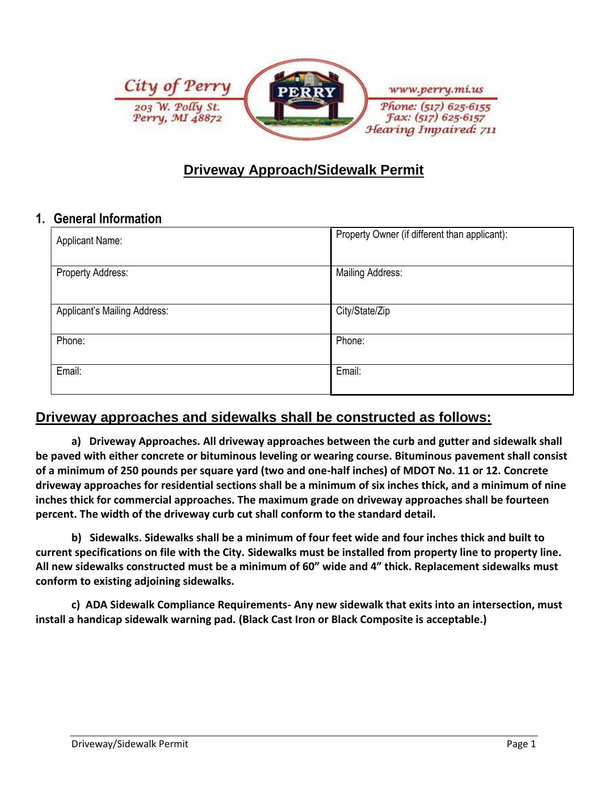

# **Driveway Approach/Sidewalk Permit**

#### **1. General Information**

| <b>Applicant Name:</b>       | Property Owner (if different than applicant): |  |
|------------------------------|-----------------------------------------------|--|
| Property Address:            | <b>Mailing Address:</b>                       |  |
| Applicant's Mailing Address: | City/State/Zip                                |  |
| Phone:                       | Phone:                                        |  |
| Email:                       | Email:                                        |  |

## **Driveway approaches and sidewalks shall be constructed as follows:**

**a) Driveway Approaches. All driveway approaches between the curb and gutter and sidewalk shall be paved with either concrete or bituminous leveling or wearing course. Bituminous pavement shall consist of a minimum of 250 pounds per square yard (two and one-half inches) of MDOT No. 11 or 12. Concrete driveway approaches for residential sections shall be a minimum of six inches thick, and a minimum of nine inches thick for commercial approaches. The maximum grade on driveway approaches shall be fourteen percent. The width of the driveway curb cut shall conform to the standard detail.**

**b) Sidewalks. Sidewalks shall be a minimum of four feet wide and four inches thick and built to current specifications on file with the City. Sidewalks must be installed from property line to property line. All new sidewalks constructed must be a minimum of 60" wide and 4" thick. Replacement sidewalks must conform to existing adjoining sidewalks.**

**c) ADA Sidewalk Compliance Requirements- Any new sidewalk that exits into an intersection, must install a handicap sidewalk warning pad. (Black Cast Iron or Black Composite is acceptable.)**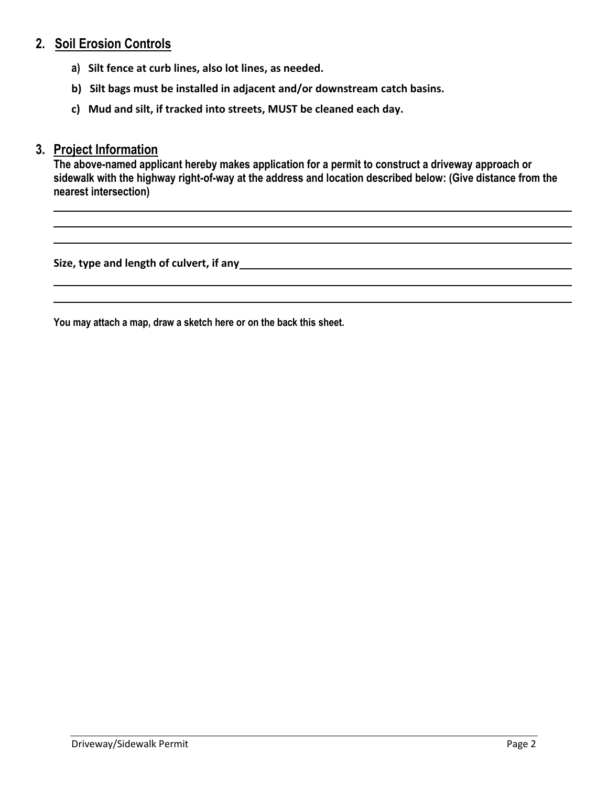#### **2. Soil Erosion Controls**

- **a) Silt fence at curb lines, also lot lines, as needed.**
- **b) Silt bags must be installed in adjacent and/or downstream catch basins.**
- **c) Mud and silt, if tracked into streets, MUST be cleaned each day.**

#### **3. Project Information**

**The above-named applicant hereby makes application for a permit to construct a driveway approach or sidewalk with the highway right-of-way at the address and location described below: (Give distance from the nearest intersection)**

**Size, type and length of culvert, if any**

**You may attach a map, draw a sketch here or on the back this sheet.**